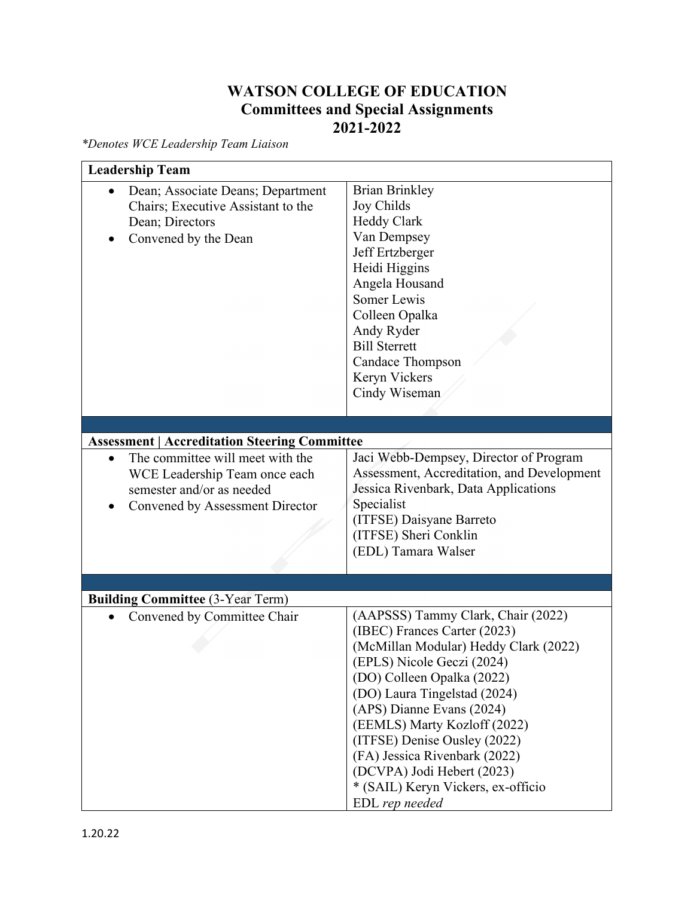## **WATSON COLLEGE OF EDUCATION Committees and Special Assignments 2021-2022**

*\*Denotes WCE Leadership Team Liaison* 

| <b>Leadership Team</b>                                                                                                            |                                                                                                                                                                                                                                                                                                                                                                                                                             |
|-----------------------------------------------------------------------------------------------------------------------------------|-----------------------------------------------------------------------------------------------------------------------------------------------------------------------------------------------------------------------------------------------------------------------------------------------------------------------------------------------------------------------------------------------------------------------------|
| Dean; Associate Deans; Department<br>$\bullet$<br>Chairs; Executive Assistant to the<br>Dean; Directors<br>Convened by the Dean   | <b>Brian Brinkley</b><br>Joy Childs<br><b>Heddy Clark</b><br>Van Dempsey<br>Jeff Ertzberger<br>Heidi Higgins<br>Angela Housand<br>Somer Lewis<br>Colleen Opalka<br>Andy Ryder<br><b>Bill Sterrett</b><br><b>Candace Thompson</b><br>Keryn Vickers<br>Cindy Wiseman                                                                                                                                                          |
|                                                                                                                                   |                                                                                                                                                                                                                                                                                                                                                                                                                             |
| <b>Assessment   Accreditation Steering Committee</b>                                                                              |                                                                                                                                                                                                                                                                                                                                                                                                                             |
| The committee will meet with the<br>WCE Leadership Team once each<br>semester and/or as needed<br>Convened by Assessment Director | Jaci Webb-Dempsey, Director of Program<br>Assessment, Accreditation, and Development<br>Jessica Rivenbark, Data Applications<br>Specialist<br>(ITFSE) Daisyane Barreto<br>(ITFSE) Sheri Conklin<br>(EDL) Tamara Walser                                                                                                                                                                                                      |
|                                                                                                                                   |                                                                                                                                                                                                                                                                                                                                                                                                                             |
| <b>Building Committee (3-Year Term)</b>                                                                                           |                                                                                                                                                                                                                                                                                                                                                                                                                             |
| Convened by Committee Chair                                                                                                       | (AAPSSS) Tammy Clark, Chair (2022)<br>(IBEC) Frances Carter (2023)<br>(McMillan Modular) Heddy Clark (2022)<br>(EPLS) Nicole Geczi (2024)<br>(DO) Colleen Opalka (2022)<br>(DO) Laura Tingelstad (2024)<br>(APS) Dianne Evans (2024)<br>(EEMLS) Marty Kozloff (2022)<br>(ITFSE) Denise Ousley (2022)<br>(FA) Jessica Rivenbark (2022)<br>(DCVPA) Jodi Hebert (2023)<br>* (SAIL) Keryn Vickers, ex-officio<br>EDL rep needed |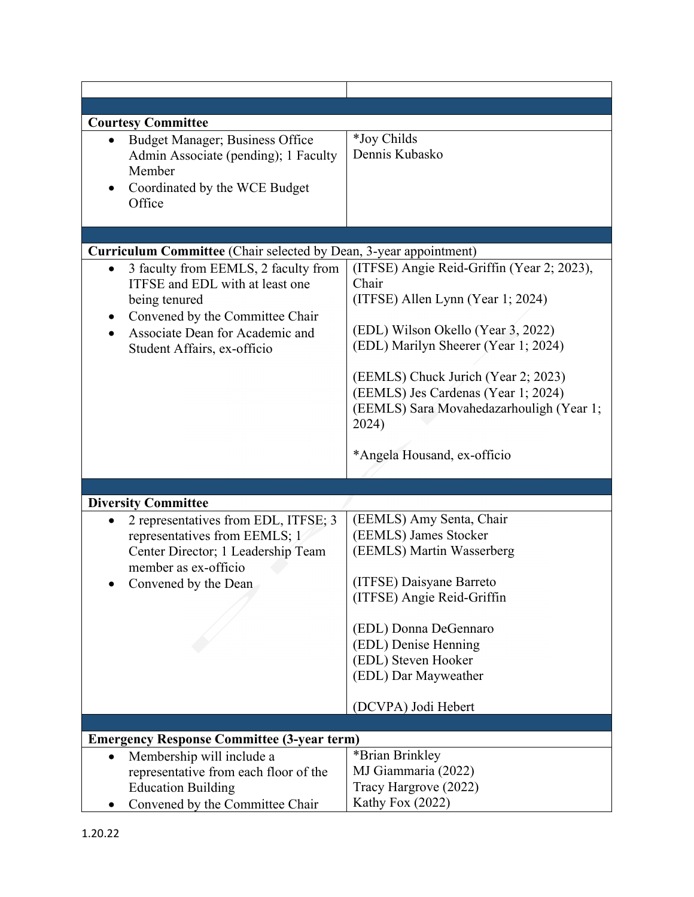| <b>Courtesy Committee</b>                                                                                                                                                                              |                                                                                                                                                                                                                                                                 |
|--------------------------------------------------------------------------------------------------------------------------------------------------------------------------------------------------------|-----------------------------------------------------------------------------------------------------------------------------------------------------------------------------------------------------------------------------------------------------------------|
| <b>Budget Manager; Business Office</b><br>$\bullet$<br>Admin Associate (pending); 1 Faculty<br>Member<br>Coordinated by the WCE Budget<br>٠                                                            | *Joy Childs<br>Dennis Kubasko                                                                                                                                                                                                                                   |
| Office                                                                                                                                                                                                 |                                                                                                                                                                                                                                                                 |
|                                                                                                                                                                                                        |                                                                                                                                                                                                                                                                 |
| Curriculum Committee (Chair selected by Dean, 3-year appointment)                                                                                                                                      |                                                                                                                                                                                                                                                                 |
| 3 faculty from EEMLS, 2 faculty from<br>$\bullet$<br>ITFSE and EDL with at least one<br>being tenured<br>Convened by the Committee Chair<br>$\bullet$<br>Associate Dean for Academic and               | (ITFSE) Angie Reid-Griffin (Year 2; 2023),<br>Chair<br>(ITFSE) Allen Lynn (Year 1; 2024)<br>(EDL) Wilson Okello (Year 3, 2022)                                                                                                                                  |
| Student Affairs, ex-officio                                                                                                                                                                            | (EDL) Marilyn Sheerer (Year 1; 2024)<br>(EEMLS) Chuck Jurich (Year 2; 2023)<br>(EEMLS) Jes Cardenas (Year 1; 2024)<br>(EEMLS) Sara Movahedazarhouligh (Year 1;<br>2024)<br>*Angela Housand, ex-officio                                                          |
|                                                                                                                                                                                                        |                                                                                                                                                                                                                                                                 |
|                                                                                                                                                                                                        |                                                                                                                                                                                                                                                                 |
| <b>Diversity Committee</b><br>2 representatives from EDL, ITFSE; 3<br>$\bullet$<br>representatives from EEMLS; 1<br>Center Director; 1 Leadership Team<br>member as ex-officio<br>Convened by the Dean | (EEMLS) Amy Senta, Chair<br>(EEMLS) James Stocker<br>(EEMLS) Martin Wasserberg<br>(ITFSE) Daisyane Barreto<br>(ITFSE) Angie Reid-Griffin<br>(EDL) Donna DeGennaro<br>(EDL) Denise Henning<br>(EDL) Steven Hooker<br>(EDL) Dar Mayweather<br>(DCVPA) Jodi Hebert |
|                                                                                                                                                                                                        |                                                                                                                                                                                                                                                                 |
| <b>Emergency Response Committee (3-year term)</b>                                                                                                                                                      |                                                                                                                                                                                                                                                                 |
| Membership will include a<br>$\bullet$<br>representative from each floor of the<br><b>Education Building</b>                                                                                           | *Brian Brinkley<br>MJ Giammaria (2022)<br>Tracy Hargrove (2022)                                                                                                                                                                                                 |
| Convened by the Committee Chair                                                                                                                                                                        | Kathy Fox (2022)                                                                                                                                                                                                                                                |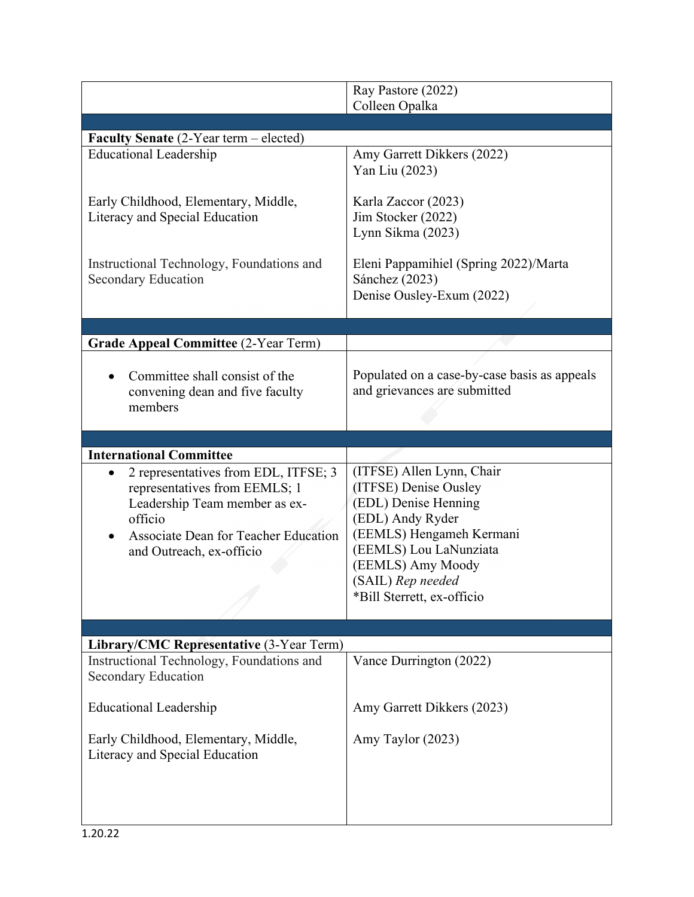|                                                                                                                                                                                              | Ray Pastore (2022)                                                                                                                                                                                                           |
|----------------------------------------------------------------------------------------------------------------------------------------------------------------------------------------------|------------------------------------------------------------------------------------------------------------------------------------------------------------------------------------------------------------------------------|
|                                                                                                                                                                                              | Colleen Opalka                                                                                                                                                                                                               |
| <b>Faculty Senate</b> $(2$ -Year term – elected)                                                                                                                                             |                                                                                                                                                                                                                              |
| <b>Educational Leadership</b>                                                                                                                                                                | Amy Garrett Dikkers (2022)<br>Yan Liu (2023)                                                                                                                                                                                 |
| Early Childhood, Elementary, Middle,<br>Literacy and Special Education                                                                                                                       | Karla Zaccor (2023)<br>Jim Stocker (2022)<br>Lynn Sikma (2023)                                                                                                                                                               |
| Instructional Technology, Foundations and<br>Secondary Education                                                                                                                             | Eleni Pappamihiel (Spring 2022)/Marta<br>Sánchez (2023)<br>Denise Ousley-Exum (2022)                                                                                                                                         |
|                                                                                                                                                                                              |                                                                                                                                                                                                                              |
| <b>Grade Appeal Committee (2-Year Term)</b>                                                                                                                                                  |                                                                                                                                                                                                                              |
| Committee shall consist of the<br>convening dean and five faculty<br>members                                                                                                                 | Populated on a case-by-case basis as appeals<br>and grievances are submitted                                                                                                                                                 |
|                                                                                                                                                                                              |                                                                                                                                                                                                                              |
| <b>International Committee</b>                                                                                                                                                               |                                                                                                                                                                                                                              |
| 2 representatives from EDL, ITFSE; 3<br>representatives from EEMLS; 1<br>Leadership Team member as ex-<br>officio<br><b>Associate Dean for Teacher Education</b><br>and Outreach, ex-officio | (ITFSE) Allen Lynn, Chair<br>(ITFSE) Denise Ousley<br>(EDL) Denise Henning<br>(EDL) Andy Ryder<br>(EEMLS) Hengameh Kermani<br>(EEMLS) Lou LaNunziata<br>(EEMLS) Amy Moody<br>(SAIL) Rep needed<br>*Bill Sterrett, ex-officio |
| Library/CMC Representative (3-Year Term)                                                                                                                                                     |                                                                                                                                                                                                                              |
| Instructional Technology, Foundations and<br><b>Secondary Education</b>                                                                                                                      | Vance Durrington (2022)                                                                                                                                                                                                      |
| <b>Educational Leadership</b>                                                                                                                                                                | Amy Garrett Dikkers (2023)                                                                                                                                                                                                   |
| Early Childhood, Elementary, Middle,<br>Literacy and Special Education                                                                                                                       | Amy Taylor (2023)                                                                                                                                                                                                            |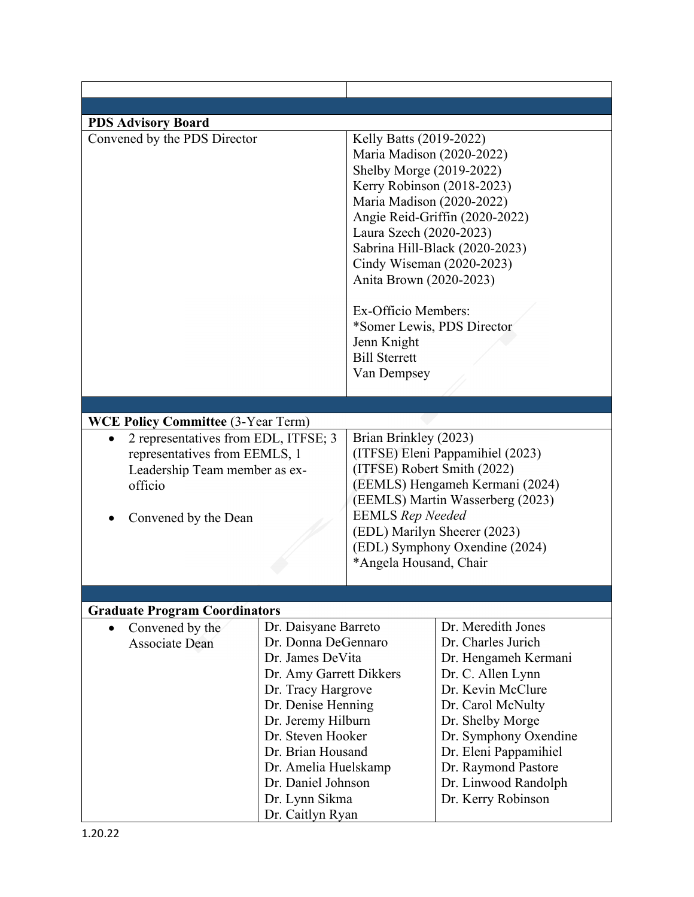| <b>PDS Advisory Board</b>                                                                                                                                                                                              |                                                                                                                                                                                                                                                                        |                                                                                                                                                                                                                                                                                                                                                                 |                                                                                                                                                                                                                                                                            |
|------------------------------------------------------------------------------------------------------------------------------------------------------------------------------------------------------------------------|------------------------------------------------------------------------------------------------------------------------------------------------------------------------------------------------------------------------------------------------------------------------|-----------------------------------------------------------------------------------------------------------------------------------------------------------------------------------------------------------------------------------------------------------------------------------------------------------------------------------------------------------------|----------------------------------------------------------------------------------------------------------------------------------------------------------------------------------------------------------------------------------------------------------------------------|
| Convened by the PDS Director<br><b>WCE Policy Committee (3-Year Term)</b><br>2 representatives from EDL, ITFSE; 3<br>representatives from EEMLS, 1<br>Leadership Team member as ex-<br>officio<br>Convened by the Dean |                                                                                                                                                                                                                                                                        | Kelly Batts (2019-2022)<br>Maria Madison (2020-2022)<br>Shelby Morge (2019-2022)<br>Kerry Robinson (2018-2023)<br>Maria Madison (2020-2022)<br>Laura Szech (2020-2023)<br>Cindy Wiseman (2020-2023)<br>Anita Brown (2020-2023)<br>Ex-Officio Members:<br>Jenn Knight<br><b>Bill Sterrett</b><br>Van Dempsey<br>Brian Brinkley (2023)<br><b>EEMLS</b> Rep Needed | Angie Reid-Griffin (2020-2022)<br>Sabrina Hill-Black (2020-2023)<br>*Somer Lewis, PDS Director<br>(ITFSE) Eleni Pappamihiel (2023)<br>(ITFSE) Robert Smith (2022)<br>(EEMLS) Hengameh Kermani (2024)<br>(EEMLS) Martin Wasserberg (2023)                                   |
|                                                                                                                                                                                                                        |                                                                                                                                                                                                                                                                        | *Angela Housand, Chair                                                                                                                                                                                                                                                                                                                                          | (EDL) Marilyn Sheerer (2023)<br>(EDL) Symphony Oxendine (2024)                                                                                                                                                                                                             |
|                                                                                                                                                                                                                        |                                                                                                                                                                                                                                                                        |                                                                                                                                                                                                                                                                                                                                                                 |                                                                                                                                                                                                                                                                            |
| <b>Graduate Program Coordinators</b>                                                                                                                                                                                   |                                                                                                                                                                                                                                                                        |                                                                                                                                                                                                                                                                                                                                                                 |                                                                                                                                                                                                                                                                            |
| Convened by the<br>$\bullet$<br><b>Associate Dean</b>                                                                                                                                                                  | Dr. Daisyane Barreto<br>Dr. Donna DeGennaro<br>Dr. James DeVita<br>Dr. Amy Garrett Dikkers<br>Dr. Tracy Hargrove<br>Dr. Denise Henning<br>Dr. Jeremy Hilburn<br>Dr. Steven Hooker<br>Dr. Brian Housand<br>Dr. Amelia Huelskamp<br>Dr. Daniel Johnson<br>Dr. Lynn Sikma |                                                                                                                                                                                                                                                                                                                                                                 | Dr. Meredith Jones<br>Dr. Charles Jurich<br>Dr. Hengameh Kermani<br>Dr. C. Allen Lynn<br>Dr. Kevin McClure<br>Dr. Carol McNulty<br>Dr. Shelby Morge<br>Dr. Symphony Oxendine<br>Dr. Eleni Pappamihiel<br>Dr. Raymond Pastore<br>Dr. Linwood Randolph<br>Dr. Kerry Robinson |

 $\Gamma$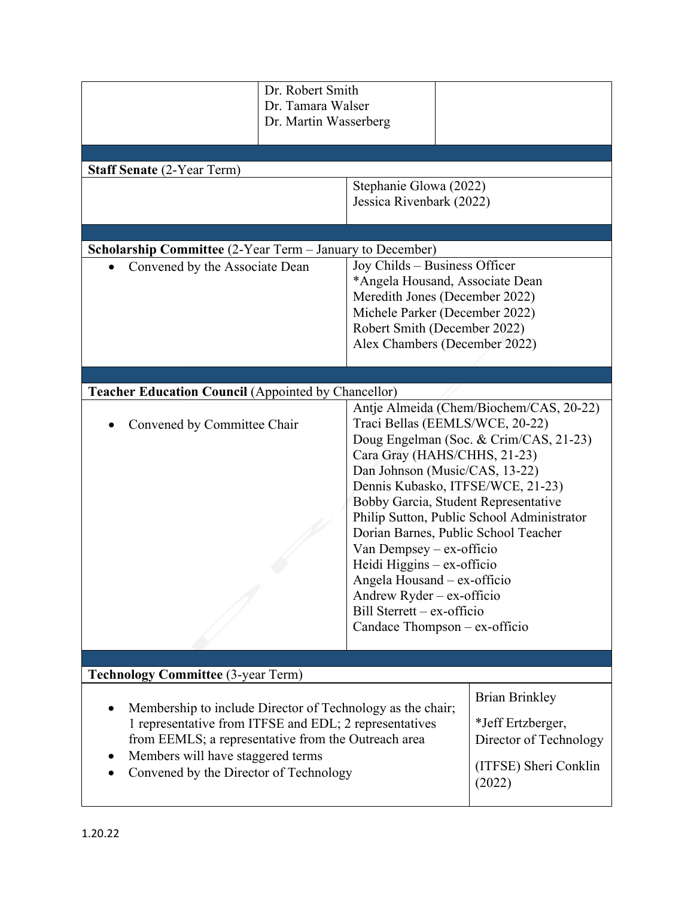|                                                                                                                                                                                                                                                            | Dr. Robert Smith<br>Dr. Tamara Walser<br>Dr. Martin Wasserberg |                                                                                                                                                                                                                                                                                                                                                                                                                                                                                                                                                |                                                                                                                                                                      |  |
|------------------------------------------------------------------------------------------------------------------------------------------------------------------------------------------------------------------------------------------------------------|----------------------------------------------------------------|------------------------------------------------------------------------------------------------------------------------------------------------------------------------------------------------------------------------------------------------------------------------------------------------------------------------------------------------------------------------------------------------------------------------------------------------------------------------------------------------------------------------------------------------|----------------------------------------------------------------------------------------------------------------------------------------------------------------------|--|
|                                                                                                                                                                                                                                                            |                                                                |                                                                                                                                                                                                                                                                                                                                                                                                                                                                                                                                                |                                                                                                                                                                      |  |
| <b>Staff Senate (2-Year Term)</b>                                                                                                                                                                                                                          |                                                                |                                                                                                                                                                                                                                                                                                                                                                                                                                                                                                                                                |                                                                                                                                                                      |  |
|                                                                                                                                                                                                                                                            |                                                                |                                                                                                                                                                                                                                                                                                                                                                                                                                                                                                                                                | Stephanie Glowa (2022)<br>Jessica Rivenbark (2022)                                                                                                                   |  |
|                                                                                                                                                                                                                                                            |                                                                |                                                                                                                                                                                                                                                                                                                                                                                                                                                                                                                                                |                                                                                                                                                                      |  |
| <b>Scholarship Committee</b> (2-Year Term – January to December)                                                                                                                                                                                           |                                                                |                                                                                                                                                                                                                                                                                                                                                                                                                                                                                                                                                |                                                                                                                                                                      |  |
| Convened by the Associate Dean                                                                                                                                                                                                                             |                                                                | Joy Childs – Business Officer                                                                                                                                                                                                                                                                                                                                                                                                                                                                                                                  | *Angela Housand, Associate Dean<br>Meredith Jones (December 2022)<br>Michele Parker (December 2022)<br>Robert Smith (December 2022)<br>Alex Chambers (December 2022) |  |
|                                                                                                                                                                                                                                                            |                                                                |                                                                                                                                                                                                                                                                                                                                                                                                                                                                                                                                                |                                                                                                                                                                      |  |
| <b>Teacher Education Council (Appointed by Chancellor)</b>                                                                                                                                                                                                 |                                                                |                                                                                                                                                                                                                                                                                                                                                                                                                                                                                                                                                |                                                                                                                                                                      |  |
| Convened by Committee Chair                                                                                                                                                                                                                                |                                                                | Antje Almeida (Chem/Biochem/CAS, 20-22)<br>Traci Bellas (EEMLS/WCE, 20-22)<br>Doug Engelman (Soc. & Crim/CAS, 21-23)<br>Cara Gray (HAHS/CHHS, 21-23)<br>Dan Johnson (Music/CAS, 13-22)<br>Dennis Kubasko, ITFSE/WCE, 21-23)<br>Bobby Garcia, Student Representative<br>Philip Sutton, Public School Administrator<br>Dorian Barnes, Public School Teacher<br>Van Dempsey - ex-officio<br>Heidi Higgins - ex-officio<br>Angela Housand - ex-officio<br>Andrew Ryder – ex-officio<br>Bill Sterrett – ex-officio<br>Candace Thompson - ex-officio |                                                                                                                                                                      |  |
| <b>Technology Committee (3-year Term)</b>                                                                                                                                                                                                                  |                                                                |                                                                                                                                                                                                                                                                                                                                                                                                                                                                                                                                                |                                                                                                                                                                      |  |
| Membership to include Director of Technology as the chair;<br>1 representative from ITFSE and EDL; 2 representatives<br>from EEMLS; a representative from the Outreach area<br>Members will have staggered terms<br>Convened by the Director of Technology |                                                                | <b>Brian Brinkley</b><br>*Jeff Ertzberger,<br>(2022)                                                                                                                                                                                                                                                                                                                                                                                                                                                                                           | Director of Technology<br>(ITFSE) Sheri Conklin                                                                                                                      |  |